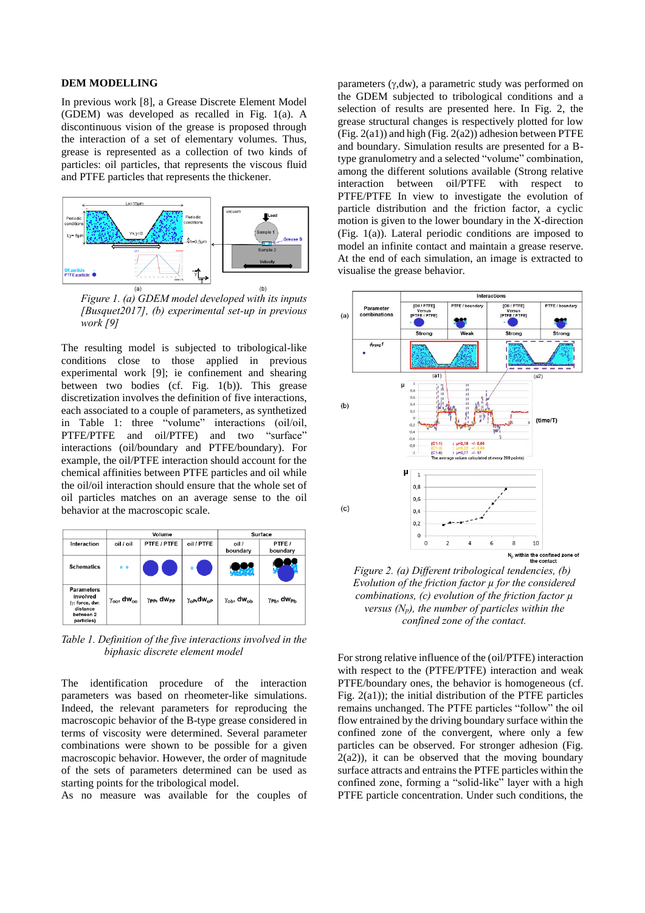## **DEM MODELLING**

In previous work [8], a Grease Discrete Element Model (GDEM) was developed as recalled in Fig. 1(a). A discontinuous vision of the grease is proposed through the interaction of a set of elementary volumes. Thus, grease is represented as a collection of two kinds of particles: oil particles, that represents the viscous fluid and PTFE particles that represents the thickener.



*Figure 1. (a) GDEM model developed with its inputs [Busquet2017], (b) experimental set-up in previous work [9]*

The resulting model is subjected to tribological-like conditions close to those applied in previous experimental work [9]; ie confinement and shearing between two bodies (cf. Fig. 1(b)). This grease discretization involves the definition of five interactions, each associated to a couple of parameters, as synthetized in Table 1: three "volume" interactions (oil/oil, PTFE/PTFE and oil/PTFE) and two "surface" interactions (oil/boundary and PTFE/boundary). For example, the oil/PTFE interaction should account for the chemical affinities between PTFE particles and oil while the oil/oil interaction should ensure that the whole set of oil particles matches on an average sense to the oil behavior at the macroscopic scale.

|                                                                                        | Volume                           |                                         |                                      | Surface                              |                                           |
|----------------------------------------------------------------------------------------|----------------------------------|-----------------------------------------|--------------------------------------|--------------------------------------|-------------------------------------------|
| Interaction                                                                            | oil / oil                        | PTFE / PTFE                             | oil / PTFE                           | oil /<br>boundary                    | PTFE/<br>boundary                         |
| <b>Schematics</b>                                                                      | $\bullet$                        |                                         |                                      |                                      |                                           |
| <b>Parameters</b><br>involved<br>(y: force, dw:<br>distance<br>between 2<br>particles) | $\gamma_{oo}$ , dw <sub>oo</sub> | $\gamma_{\text{PP}}$ , dw <sub>pp</sub> | $\gamma_{\rm oP}$ , dw <sub>oP</sub> | $\gamma_{\rm ob}$ , dw <sub>ob</sub> | $\gamma_{\mathsf{Pb}}$ , dw <sub>Ph</sub> |

*Table 1. Definition of the five interactions involved in the biphasic discrete element model*

The identification procedure of the interaction parameters was based on rheometer-like simulations. Indeed, the relevant parameters for reproducing the macroscopic behavior of the B-type grease considered in terms of viscosity were determined. Several parameter combinations were shown to be possible for a given macroscopic behavior. However, the order of magnitude of the sets of parameters determined can be used as starting points for the tribological model.

As no measure was available for the couples of

parameters  $(y, dw)$ , a parametric study was performed on the GDEM subjected to tribological conditions and a selection of results are presented here. In Fig. 2, the grease structural changes is respectively plotted for low (Fig.  $2(a1)$ ) and high (Fig.  $2(a2)$ ) adhesion between PTFE and boundary. Simulation results are presented for a Btype granulometry and a selected "volume" combination, among the different solutions available (Strong relative interaction between oil/PTFE with respect to PTFE/PTFE In view to investigate the evolution of particle distribution and the friction factor, a cyclic motion is given to the lower boundary in the X-direction (Fig. 1(a)). Lateral periodic conditions are imposed to model an infinite contact and maintain a grease reserve. At the end of each simulation, an image is extracted to visualise the grease behavior.



*Figure 2. (a) Different tribological tendencies, (b) Evolution of the friction factor µ for the considered combinations, (c) evolution of the friction factor µ versus (Np), the number of particles within the confined zone of the contact.*

For strong relative influence of the (oil/PTFE) interaction with respect to the (PTFE/PTFE) interaction and weak PTFE/boundary ones, the behavior is homogeneous (cf. Fig. 2(a1)); the initial distribution of the PTFE particles remains unchanged. The PTFE particles "follow" the oil flow entrained by the driving boundary surface within the confined zone of the convergent, where only a few particles can be observed. For stronger adhesion (Fig.  $2(a2)$ ), it can be observed that the moving boundary surface attracts and entrains the PTFE particles within the confined zone, forming a "solid-like" layer with a high PTFE particle concentration. Under such conditions, the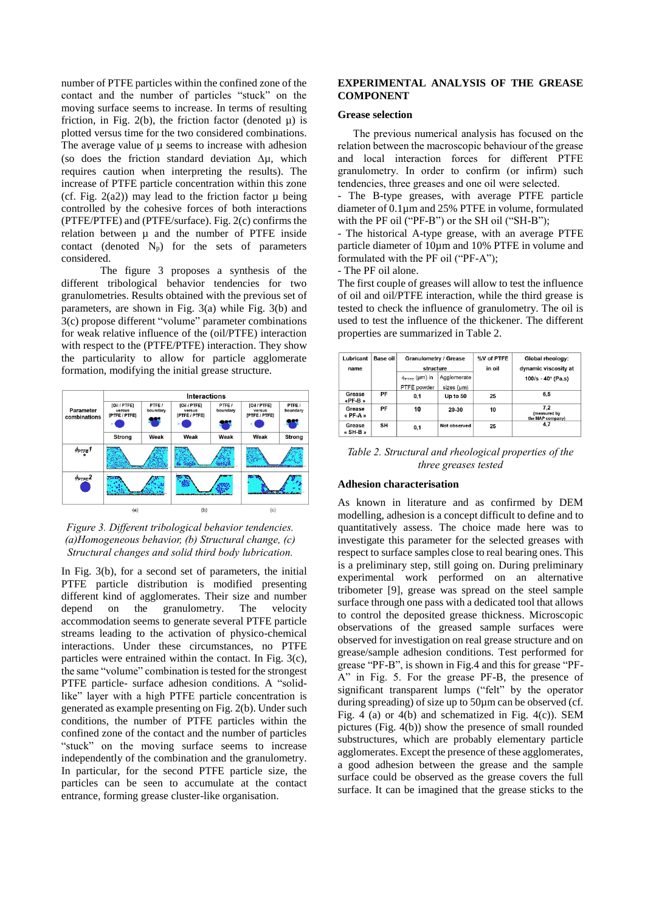number of PTFE particles within the confined zone of the contact and the number of particles "stuck" on the moving surface seems to increase. In terms of resulting friction, in Fig. 2(b), the friction factor (denoted  $\mu$ ) is plotted versus time for the two considered combinations. The average value of  $\mu$  seems to increase with adhesion (so does the friction standard deviation  $\Delta \mu$ , which requires caution when interpreting the results). The increase of PTFE particle concentration within this zone (cf. Fig.  $2(a2)$ ) may lead to the friction factor  $\mu$  being controlled by the cohesive forces of both interactions (PTFE/PTFE) and (PTFE/surface). Fig. 2(c) confirms the relation between  $\mu$  and the number of PTFE inside contact (denoted  $N_p$ ) for the sets of parameters considered.

The figure 3 proposes a synthesis of the different tribological behavior tendencies for two granulometries. Results obtained with the previous set of parameters, are shown in Fig. 3(a) while Fig. 3(b) and 3(c) propose different "volume" parameter combinations for weak relative influence of the (oil/PTFE) interaction with respect to the (PTFE/PTFE) interaction. They show the particularity to allow for particle agglomerate formation, modifying the initial grease structure.



# *Figure 3. Different tribological behavior tendencies. (a)Homogeneous behavior, (b) Structural change, (c) Structural changes and solid third body lubrication.*

In Fig. 3(b), for a second set of parameters, the initial PTFE particle distribution is modified presenting different kind of agglomerates. Their size and number depend on the granulometry. The velocity accommodation seems to generate several PTFE particle streams leading to the activation of physico-chemical interactions. Under these circumstances, no PTFE particles were entrained within the contact. In Fig. 3(c), the same "volume" combination is tested for the strongest PTFE particle- surface adhesion conditions. A "solidlike" layer with a high PTFE particle concentration is generated as example presenting on Fig. 2(b). Under such conditions, the number of PTFE particles within the confined zone of the contact and the number of particles "stuck" on the moving surface seems to increase independently of the combination and the granulometry. In particular, for the second PTFE particle size, the particles can be seen to accumulate at the contact entrance, forming grease cluster-like organisation.

# **EXPERIMENTAL ANALYSIS OF THE GREASE COMPONENT**

#### **Grease selection**

The previous numerical analysis has focused on the relation between the macroscopic behaviour of the grease and local interaction forces for different PTFE granulometry. In order to confirm (or infirm) such tendencies, three greases and one oil were selected.

- The B-type greases, with average PTFE particle diameter of 0.1µm and 25% PTFE in volume, formulated with the PF oil ("PF-B") or the SH oil ("SH-B");

- The historical A-type grease, with an average PTFE particle diameter of 10µm and 10% PTFE in volume and formulated with the PF oil ("PF-A");

- The PF oil alone.

The first couple of greases will allow to test the influence of oil and oil/PTFE interaction, while the third grease is tested to check the influence of granulometry. The oil is used to test the influence of the thickener. The different properties are summarized in Table 2.

| Lubricant<br>name  | Base oil | Granulometry / Grease<br>structure          |                           | %V of PTFE<br>in oil | Global rheology:<br>dynamic viscosity at |
|--------------------|----------|---------------------------------------------|---------------------------|----------------------|------------------------------------------|
|                    |          | $\phi_{\text{PTFE}}$ (µm) in<br>PTFE powder | Agglomerate<br>sizes (um) |                      | $100/s - 40^{\circ}$ (Pa.s)              |
| Grease<br>«PF-B»   | PF       | 0.1                                         | Up to 50                  | 25                   | 6.5                                      |
| Grease<br>« PF-A » | PF       | 10                                          | 20-30                     | 10                   | 7.2<br>(measured by<br>the MAP company)  |
| Grease<br>« SH-B » | SΗ       | 0,1                                         | Not observed              | 25                   | 4,7                                      |

*Table 2. Structural and rheological properties of the three greases tested*

## **Adhesion characterisation**

As known in literature and as confirmed by DEM modelling, adhesion is a concept difficult to define and to quantitatively assess. The choice made here was to investigate this parameter for the selected greases with respect to surface samples close to real bearing ones. This is a preliminary step, still going on. During preliminary experimental work performed on an alternative tribometer [9], grease was spread on the steel sample surface through one pass with a dedicated tool that allows to control the deposited grease thickness. Microscopic observations of the greased sample surfaces were observed for investigation on real grease structure and on grease/sample adhesion conditions. Test performed for grease "PF-B", is shown in Fig.4 and this for grease "PF-A" in Fig. 5. For the grease PF-B, the presence of significant transparent lumps ("felt" by the operator during spreading) of size up to 50µm can be observed (cf. Fig. 4 (a) or 4(b) and schematized in Fig. 4(c)). SEM pictures (Fig. 4(b)) show the presence of small rounded substructures, which are probably elementary particle agglomerates. Except the presence of these agglomerates, a good adhesion between the grease and the sample surface could be observed as the grease covers the full surface. It can be imagined that the grease sticks to the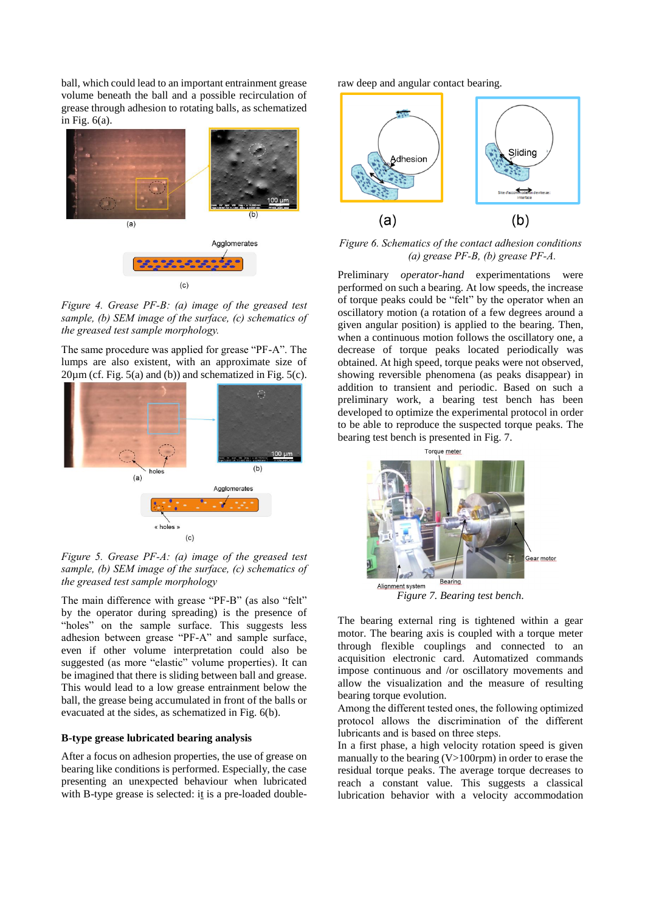ball, which could lead to an important entrainment grease volume beneath the ball and a possible recirculation of grease through adhesion to rotating balls, as schematized in Fig.  $6(a)$ .



*Figure 4. Grease PF-B: (a) image of the greased test sample, (b) SEM image of the surface, (c) schematics of the greased test sample morphology.*

The same procedure was applied for grease "PF-A". The lumps are also existent, with an approximate size of  $20\mu$ m (cf. Fig. 5(a) and (b)) and schematized in Fig. 5(c).



*Figure 5. Grease PF-A: (a) image of the greased test sample, (b) SEM image of the surface, (c) schematics of the greased test sample morphology* 

The main difference with grease "PF-B" (as also "felt" by the operator during spreading) is the presence of "holes" on the sample surface. This suggests less adhesion between grease "PF-A" and sample surface, even if other volume interpretation could also be suggested (as more "elastic" volume properties). It can be imagined that there is sliding between ball and grease. This would lead to a low grease entrainment below the ball, the grease being accumulated in front of the balls or evacuated at the sides, as schematized in Fig. 6(b).

## **B-type grease lubricated bearing analysis**

After a focus on adhesion properties, the use of grease on bearing like conditions is performed. Especially, the case presenting an unexpected behaviour when lubricated with B-type grease is selected: it is a pre-loaded doubleraw deep and angular contact bearing.



*Figure 6. Schematics of the contact adhesion conditions (a) grease PF-B, (b) grease PF-A.*

Preliminary *operator-hand* experimentations were performed on such a bearing. At low speeds, the increase of torque peaks could be "felt" by the operator when an oscillatory motion (a rotation of a few degrees around a given angular position) is applied to the bearing. Then, when a continuous motion follows the oscillatory one, a decrease of torque peaks located periodically was obtained. At high speed, torque peaks were not observed, showing reversible phenomena (as peaks disappear) in addition to transient and periodic. Based on such a preliminary work, a bearing test bench has been developed to optimize the experimental protocol in order to be able to reproduce the suspected torque peaks. The bearing test bench is presented in Fig. 7.



*Figure 7. Bearing test bench.*

The bearing external ring is tightened within a gear motor. The bearing axis is coupled with a torque meter through flexible couplings and connected to an acquisition electronic card. Automatized commands impose continuous and /or oscillatory movements and allow the visualization and the measure of resulting bearing torque evolution.

Among the different tested ones, the following optimized protocol allows the discrimination of the different lubricants and is based on three steps.

In a first phase, a high velocity rotation speed is given manually to the bearing  $(V>100$ rpm) in order to erase the residual torque peaks. The average torque decreases to reach a constant value. This suggests a classical lubrication behavior with a velocity accommodation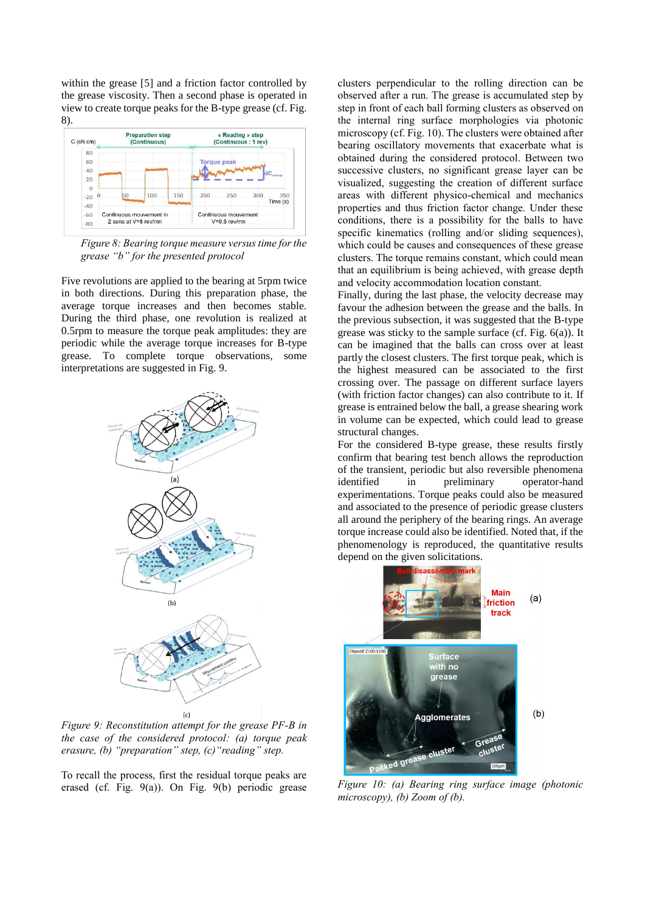within the grease [5] and a friction factor controlled by the grease viscosity. Then a second phase is operated in view to create torque peaks for the B-type grease (cf. Fig. 8).



*Figure 8: Bearing torque measure versus time for the grease "b" for the presented protocol*

Five revolutions are applied to the bearing at 5rpm twice in both directions. During this preparation phase, the average torque increases and then becomes stable. During the third phase, one revolution is realized at 0.5rpm to measure the torque peak amplitudes: they are periodic while the average torque increases for B-type grease. To complete torque observations, some interpretations are suggested in Fig. 9.



*Figure 9: Reconstitution attempt for the grease PF-B in the case of the considered protocol: (a) torque peak erasure, (b) "preparation" step, (c)"reading" step.*

To recall the process, first the residual torque peaks are erased (cf. Fig. 9(a)). On Fig. 9(b) periodic grease clusters perpendicular to the rolling direction can be observed after a run. The grease is accumulated step by step in front of each ball forming clusters as observed on the internal ring surface morphologies via photonic microscopy (cf. Fig. 10). The clusters were obtained after bearing oscillatory movements that exacerbate what is obtained during the considered protocol. Between two successive clusters, no significant grease layer can be visualized, suggesting the creation of different surface areas with different physico-chemical and mechanics properties and thus friction factor change. Under these conditions, there is a possibility for the balls to have specific kinematics (rolling and/or sliding sequences), which could be causes and consequences of these grease clusters. The torque remains constant, which could mean that an equilibrium is being achieved, with grease depth and velocity accommodation location constant.

Finally, during the last phase, the velocity decrease may favour the adhesion between the grease and the balls. In the previous subsection, it was suggested that the B-type grease was sticky to the sample surface (cf. Fig. 6(a)). It can be imagined that the balls can cross over at least partly the closest clusters. The first torque peak, which is the highest measured can be associated to the first crossing over. The passage on different surface layers (with friction factor changes) can also contribute to it. If grease is entrained below the ball, a grease shearing work in volume can be expected, which could lead to grease structural changes.

For the considered B-type grease, these results firstly confirm that bearing test bench allows the reproduction of the transient, periodic but also reversible phenomena<br>identified in preliminary operator-hand identified in preliminary operator-hand experimentations. Torque peaks could also be measured and associated to the presence of periodic grease clusters all around the periphery of the bearing rings. An average torque increase could also be identified. Noted that, if the phenomenology is reproduced, the quantitative results depend on the given solicitations.



*Figure 10: (a) Bearing ring surface image (photonic microscopy), (b) Zoom of (b).*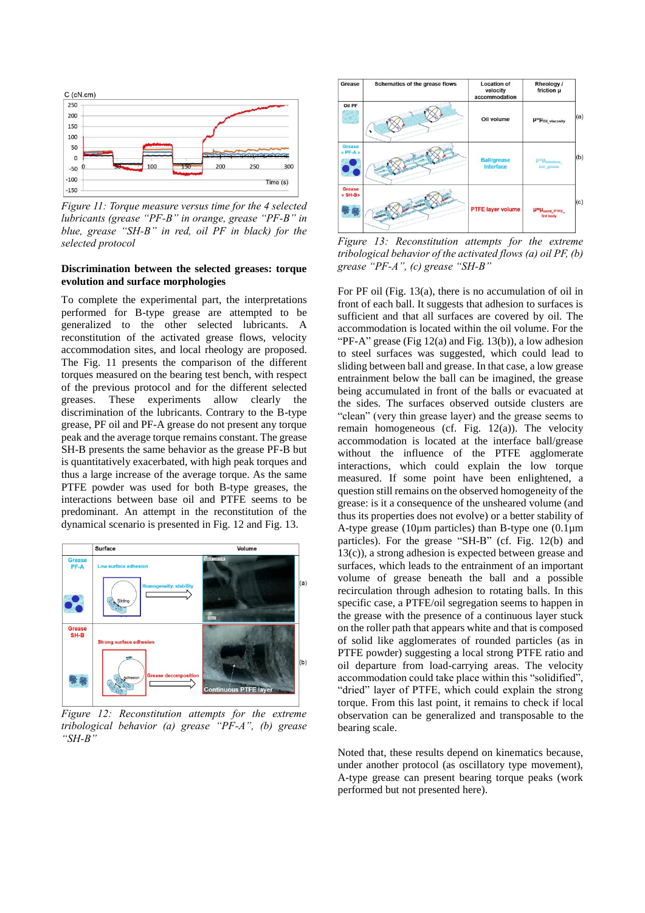

*Figure 11: Torque measure versus time for the 4 selected lubricants (grease "PF-B" in orange, grease "PF-B" in blue, grease "SH-B" in red, oil PF in black) for the selected protocol*

## **Discrimination between the selected greases: torque evolution and surface morphologies**

To complete the experimental part, the interpretations performed for B-type grease are attempted to be generalized to the other selected lubricants. A reconstitution of the activated grease flows, velocity accommodation sites, and local rheology are proposed. The Fig. 11 presents the comparison of the different torques measured on the bearing test bench, with respect of the previous protocol and for the different selected greases. These experiments allow clearly the discrimination of the lubricants. Contrary to the B-type grease, PF oil and PF-A grease do not present any torque peak and the average torque remains constant. The grease SH-B presents the same behavior as the grease PF-B but is quantitatively exacerbated, with high peak torques and thus a large increase of the average torque. As the same PTFE powder was used for both B-type greases, the interactions between base oil and PTFE seems to be predominant. An attempt in the reconstitution of the dynamical scenario is presented in Fig. 12 and Fig. 13.



*Figure 12: Reconstitution attempts for the extreme tribological behavior (a) grease "PF-A", (b) grease "SH-B"*



*Figure 13: Reconstitution attempts for the extreme tribological behavior of the activated flows (a) oil PF, (b) grease "PF-A", (c) grease "SH-B"*

For PF oil (Fig. 13(a), there is no accumulation of oil in front of each ball. It suggests that adhesion to surfaces is sufficient and that all surfaces are covered by oil. The accommodation is located within the oil volume. For the "PF-A" grease (Fig  $12(a)$  and Fig.  $13(b)$ ), a low adhesion to steel surfaces was suggested, which could lead to sliding between ball and grease. In that case, a low grease entrainment below the ball can be imagined, the grease being accumulated in front of the balls or evacuated at the sides. The surfaces observed outside clusters are "clean" (very thin grease layer) and the grease seems to remain homogeneous (cf. Fig. 12(a)). The velocity accommodation is located at the interface ball/grease without the influence of the PTFE agglomerate interactions, which could explain the low torque measured. If some point have been enlightened, a question still remains on the observed homogeneity of the grease: is it a consequence of the unsheared volume (and thus its properties does not evolve) or a better stability of A-type grease (10 $\mu$ m particles) than B-type one (0.1 $\mu$ m particles). For the grease "SH-B" (cf. Fig. 12(b) and 13(c)), a strong adhesion is expected between grease and surfaces, which leads to the entrainment of an important volume of grease beneath the ball and a possible recirculation through adhesion to rotating balls. In this specific case, a PTFE/oil segregation seems to happen in the grease with the presence of a continuous layer stuck on the roller path that appears white and that is composed of solid like agglomerates of rounded particles (as in PTFE powder) suggesting a local strong PTFE ratio and oil departure from load-carrying areas. The velocity accommodation could take place within this "solidified", "dried" layer of PTFE, which could explain the strong torque. From this last point, it remains to check if local observation can be generalized and transposable to the bearing scale.

Noted that, these results depend on kinematics because, under another protocol (as oscillatory type movement), A-type grease can present bearing torque peaks (work performed but not presented here).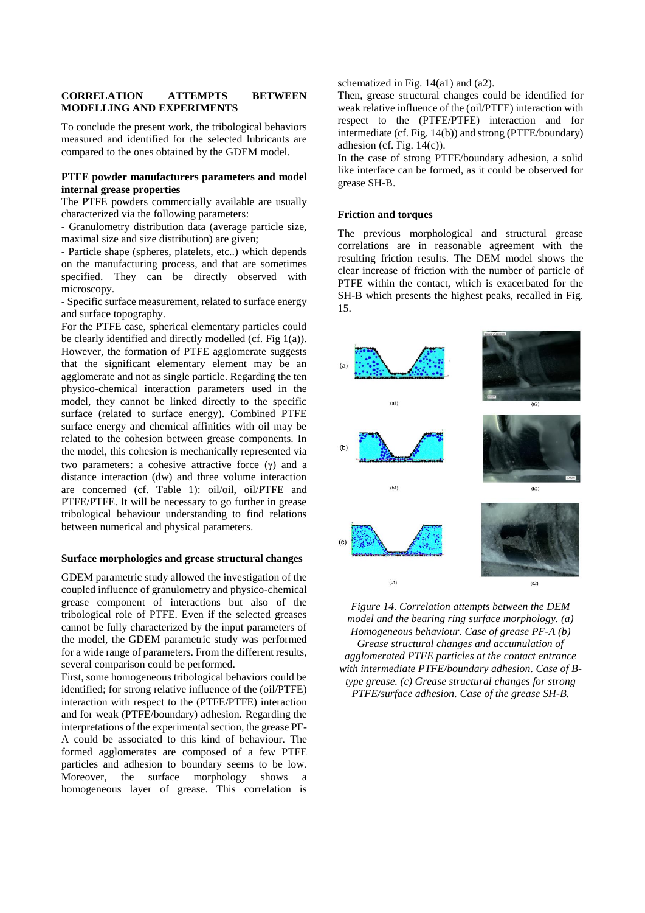# **CORRELATION ATTEMPTS BETWEEN MODELLING AND EXPERIMENTS**

To conclude the present work, the tribological behaviors measured and identified for the selected lubricants are compared to the ones obtained by the GDEM model.

# **PTFE powder manufacturers parameters and model internal grease properties**

The PTFE powders commercially available are usually characterized via the following parameters:

- Granulometry distribution data (average particle size, maximal size and size distribution) are given;

- Particle shape (spheres, platelets, etc..) which depends on the manufacturing process, and that are sometimes specified. They can be directly observed with microscopy.

- Specific surface measurement, related to surface energy and surface topography.

For the PTFE case, spherical elementary particles could be clearly identified and directly modelled (cf. Fig 1(a)). However, the formation of PTFE agglomerate suggests that the significant elementary element may be an agglomerate and not as single particle. Regarding the ten physico-chemical interaction parameters used in the model, they cannot be linked directly to the specific surface (related to surface energy). Combined PTFE surface energy and chemical affinities with oil may be related to the cohesion between grease components. In the model, this cohesion is mechanically represented via two parameters: a cohesive attractive force  $(y)$  and a distance interaction (dw) and three volume interaction are concerned (cf. Table 1): oil/oil, oil/PTFE and PTFE/PTFE. It will be necessary to go further in grease tribological behaviour understanding to find relations between numerical and physical parameters.

### **Surface morphologies and grease structural changes**

GDEM parametric study allowed the investigation of the coupled influence of granulometry and physico-chemical grease component of interactions but also of the tribological role of PTFE. Even if the selected greases cannot be fully characterized by the input parameters of the model, the GDEM parametric study was performed for a wide range of parameters. From the different results, several comparison could be performed.

First, some homogeneous tribological behaviors could be identified; for strong relative influence of the (oil/PTFE) interaction with respect to the (PTFE/PTFE) interaction and for weak (PTFE/boundary) adhesion. Regarding the interpretations of the experimental section, the grease PF-A could be associated to this kind of behaviour. The formed agglomerates are composed of a few PTFE particles and adhesion to boundary seems to be low. Moreover, the surface morphology shows a homogeneous layer of grease. This correlation is schematized in Fig. 14(a1) and (a2).

Then, grease structural changes could be identified for weak relative influence of the (oil/PTFE) interaction with respect to the (PTFE/PTFE) interaction and for intermediate (cf. Fig. 14(b)) and strong (PTFE/boundary) adhesion (cf. Fig.  $14(c)$ ).

In the case of strong PTFE/boundary adhesion, a solid like interface can be formed, as it could be observed for grease SH-B.

#### **Friction and torques**

The previous morphological and structural grease correlations are in reasonable agreement with the resulting friction results. The DEM model shows the clear increase of friction with the number of particle of PTFE within the contact, which is exacerbated for the SH-B which presents the highest peaks, recalled in Fig. 15.



*Figure 14. Correlation attempts between the DEM model and the bearing ring surface morphology. (a) Homogeneous behaviour. Case of grease PF-A (b) Grease structural changes and accumulation of agglomerated PTFE particles at the contact entrance with intermediate PTFE/boundary adhesion. Case of Btype grease. (c) Grease structural changes for strong PTFE/surface adhesion. Case of the grease SH-B.*